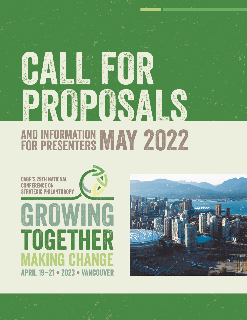# PROPOSALS AND INFORMATION MAY 2022

FOR

**FERENCE ON TEGIC PHILANTHROPY** 

CAL



## ING TOGETHER INI: I: **APRIL 19-21 . 2023 . VANCOUVER**

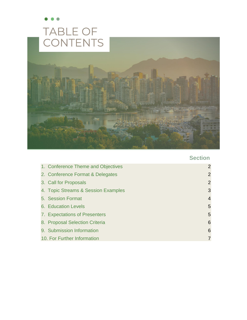

### **Section**

|  | 1. Conference Theme and Objectives  | $\overline{2}$  |
|--|-------------------------------------|-----------------|
|  | 2. Conference Format & Delegates    | $\overline{2}$  |
|  | 3. Call for Proposals               | $\overline{2}$  |
|  | 4. Topic Streams & Session Examples | 3               |
|  | 5. Session Format                   | $\overline{4}$  |
|  | 6. Education Levels                 | 5               |
|  | 7. Expectations of Presenters       | 5               |
|  | 8. Proposal Selection Criteria      | $6\phantom{1}6$ |
|  | 9. Submission Information           | 6               |
|  | 10. For Further Information         | 7               |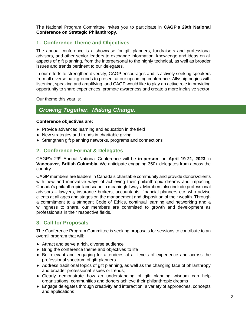The National Program Committee invites you to participate in **CAGP's 29th National Conference on Strategic Philanthropy**.

#### <span id="page-2-0"></span>**1. Conference Theme and Objectives**

The annual conference is a showcase for gift planners, fundraisers and professional advisors, and other senior leaders to exchange information, knowledge and ideas on all aspects of gift planning, from the interpersonal to the highly technical, as well as broader issues and trends pertinent to our delegates.

In our efforts to strengthen diversity, CAGP encourages and is actively seeking speakers from all diverse backgrounds to present at our upcoming conference. Allyship begins with listening, speaking and amplifying, and CAGP would like to play an active role in providing opportunity to share experiences, promote awareness and create a more inclusive sector.

Our theme this year is:

#### *Growing Together. Making Change.*

#### **Conference objectives are:**

- Provide advanced learning and education in the field
- New strategies and trends in charitable giving
- Strengthen gift planning networks, programs and connections

#### <span id="page-2-1"></span>**2. Conference Format & Delegates**

CAGP's 29th Annual National Conference will be **in-person**, on **April 19-21, 2023** in **Vancouver, British Columbia***.* We anticipate engaging 350+ delegates from across the country.

CAGP members are leaders in Canada's charitable community and provide donors/clients with new and innovative ways of achieving their philanthropic dreams and impacting Canada's philanthropic landscape in meaningful ways. Members also include professional advisors – lawyers, insurance brokers, accountants, financial planners etc. who advise clients at all ages and stages on the management and disposition of their wealth. Through a commitment to a stringent Code of Ethics, continual learning and networking and a willingness to share, our members are committed to growth and development as professionals in their respective fields.

#### <span id="page-2-2"></span>**3. Call for Proposals**

The Conference Program Committee is seeking proposals for sessions to contribute to an overall program that will:

- Attract and serve a rich, diverse audience
- Bring the conference theme and objectives to life
- Be relevant and engaging for attendees at all levels of experience and across the professional spectrum of gift planners.
- Address traditional topics of gift planning, as well as the changing face of philanthropy and broader professional issues or trends;
- Clearly demonstrate how an understanding of gift planning wisdom can help organizations, communities and donors achieve their philanthropic dreams
- Engage delegates through creativity and interaction, a variety of approaches, concepts and applications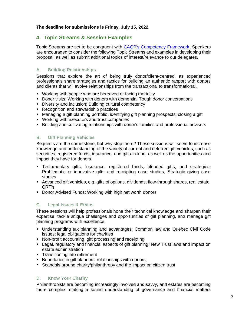#### **The deadline for submissions is Friday, July 15, 2022.**

#### <span id="page-3-0"></span>**4. Topic Streams & Session Examples**

Topic Streams are set to be congruent with [CAGP's Competency Framework.](https://www.cagp-acpdp.org/en/competency-framework-for-charity-based-gift-planners) Speakers are encouraged to consider the following Topic Streams and examples in developing their proposal, as well as submit additional topics of interest/relevance to our delegates.

#### **A. Building Relationships**

Sessions that explore the art of being truly donor/client-centred, as experienced professionals share strategies and tactics for building an authentic rapport with donors and clients that will evolve relationships from the transactional to transformational.

- Working with people who are bereaved or facing mortality
- **Donor visits; Working with donors with dementia; Tough donor conversations**
- **Diversity and inclusion; Building cultural competency**
- Recognition and stewardship practices
- Managing a gift planning portfolio; identifying gift planning prospects; closing a gift
- Working with executors and trust companies
- **E** Building and cultivating relationships with donor's families and professional advisors

#### **B. Gift Planning Vehicles**

Bequests are the cornerstone, but why stop there? These sessions will serve to increase knowledge and understanding of the variety of current and deferred gift vehicles, such as securities, registered funds, insurance, and gifts-in-kind, as well as the opportunities and impact they have for donors.

- Testamentary gifts, insurance, registered funds, blended gifts, and strategies; Problematic or innovative gifts and receipting case studies; Strategic giving case studies
- Advanced gift vehicles, e.g. gifts of options, dividends, flow-through shares, real estate, CRT's
- Donor Advised Funds; Working with high net worth donors

#### **C. Legal Issues & Ethics**

These sessions will help professionals hone their technical knowledge and sharpen their expertise, tackle unique challenges and opportunities of gift planning, and manage gift planning programs with excellence.

- Understanding tax planning and advantages; Common law and Quebec Civil Code issues; legal obligations for charities
- Non-profit accounting, gift processing and receipting
- Legal, regulatory and financial aspects of gift planning; New Trust laws and impact on estate administration
- **•** Transitioning into retirement
- Boundaries in gift planners' relationships with donors;
- Scandals around charity/philanthropy and the impact on citizen trust

#### **D. Know Your Charity**

Philanthropists are becoming increasingly involved and savvy, and estates are becoming more complex, making a sound understanding of governance and financial matters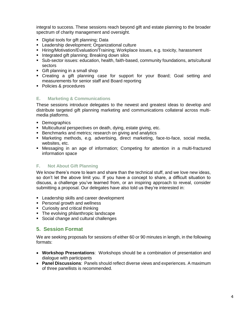integral to success. These sessions reach beyond gift and estate planning to the broader spectrum of charity management and oversight.

- Digital tools for gift planning; Data
- **EXECTE:** Leadership development; Organizational culture
- **EXTENDIMION EXAMOM** Hiranging; Workplace issues, e.g. toxicity, harassment
- Integrated gift planning; Breaking down silos
- Sub-sector issues: education, health, faith-based, community foundations, arts/cultural sectors
- Gift planning in a small shop
- Creating a gift planning case for support for your Board; Goal setting and measurements for senior staff and Board reporting
- Policies & procedures

#### **E. Marketing & Communications**

These sessions introduce delegates to the newest and greatest ideas to develop and distribute targeted gift planning marketing and communications collateral across multimedia platforms.

- Demographics
- Multicultural perspectives on death, dying, estate giving, etc.
- Benchmarks and metrics; research on giving and analytics
- Marketing methods, e.g. advertising, direct marketing, face-to-face, social media, websites, etc.
- **■** Messaging in an age of information; Competing for attention in a multi-fractured information space

#### **F. Not About Gift Planning**

We know there's more to learn and share than the technical stuff, and we love new ideas, so don't let the above limit you. If you have a concept to share, a difficult situation to discuss, a challenge you've learned from, or an inspiring approach to reveal, consider submitting a proposal. Our delegates have also told us they're interested in:

- **EXECTED** EXILE and career development
- **•** Personal growth and wellness
- Curiosity and critical thinking
- The evolving philanthropic landscape
- Social change and cultural challenges

#### <span id="page-4-0"></span>**5. Session Format**

We are seeking proposals for sessions of either 60 or 90 minutes in length, in the following formats:

- **Workshop Presentations**: Workshops should be a combination of presentation and dialogue with participants
- **Panel Discussions**: Panels should reflect diverse views and experiences. A maximum of three panellists is recommended.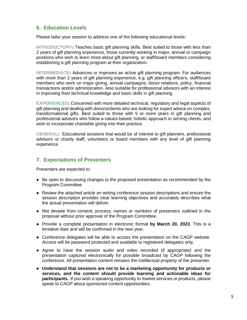#### <span id="page-5-0"></span>**6. Education Levels**

Please tailor your session to address one of the following educational levels:

**INTRODUCTORY:** Teaches basic gift planning skills. Best suited to those with less than 2 years of gift planning experience, those currently working in major, annual or campaign positions who wish to learn more about gift planning, or staff/board members considering establishing a gift planning program at their organization.

**INTERMEDIATE:** Advances or improves an active gift planning program. For audiences with *more than* 2 years of gift planning experience, e.g. gift planning officers, staff/board members who work on major giving, annual campaigns, donor relations, policy, financial transactions and/or administration. Also suitable for professional advisors with an interest in improving their technical knowledge and basic skills in gift planning.

**EXPERIENCED:** Concerned with more detailed technical, regulatory and legal aspects of gift planning and dealing with donors/clients who are looking for expert advice on complex, transformational gifts. Best suited to those with 5 or more years in gift planning and professional advisors who follow a values-based, holistic approach in serving clients, and wish to incorporate charitable giving into their practice.

**GENERAL:** Educational sessions that would be of interest to gift planners, professional advisors or charity staff, volunteers or board members with any level of gift planning experience.

#### <span id="page-5-1"></span>**7. Expectations of Presenters**

Presenters are expected to:

- Be open to discussing changes to the proposed presentation as recommended by the Program Committee.
- Review the attached article on writing conference session descriptions and ensure the session description provides clear learning objectives and accurately describes what the actual presentation will deliver.
- Not deviate from content, process, names or numbers of presenters outlined in the proposal without prior approval of the Program Committee.
- Provide a complete presentation in electronic format **by March 20, 2023**. This is a tentative date and will be confirmed in the new year.
- Conference delegates will be able to access the presentation on the CAGP website. Access will be password protected and available to registered delegates only.
- Agree to have the session audio and video recorded (if appropriate) and the presentation captured electronically for possible broadcast by CAGP following the conference. All presentation content remains the intellectual property of the presenter.
- **Understand that sessions are not to be a marketing opportunity for products or services, and the content should provide learning and actionable ideas for participants.** If you wish a speaking opportunity to market services or products, please speak to CAGP about sponsored-content opportunities.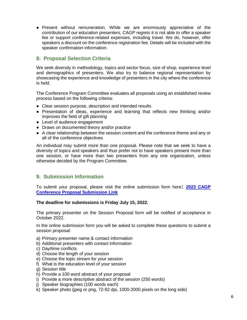● Present without remuneration. While we are enormously appreciative of the contribution of our education presenters, CAGP regrets it is not able to offer a speaker fee or support conference-related expenses, including travel. We do, however, offer speakers a discount on the conference registration fee. Details will be included with the speaker confirmation information.

#### <span id="page-6-0"></span>**8. Proposal Selection Criteria**

We seek diversity in methodology, topics and sector focus, size of shop, experience level and demographics of presenters. We also try to balance regional representation by showcasing the experience and knowledge of presenters in the city where the conference is held.

The Conference Program Committee evaluates all proposals using an established review process based on the following criteria:

- Clear session purpose, description and intended results
- Presentation of ideas, experience and learning that reflects new thinking and/or improves the field of gift planning
- Level of audience engagement
- Draws on documented theory and/or practice
- A clear relationship between the session content and the conference theme and any or all of the conference objectives

An individual may submit more than one proposal. Please note that we seek to have a diversity of topics and speakers and thus prefer not to have speakers present more than one session, or have more than two presenters from any one organization, unless otherwise decided by the Program Committee.

#### <span id="page-6-1"></span>**9. Submission Information**

To submit your proposal, please visit the online submission form here**: [2023 CAGP](https://airtable.com/shrVDPwyaW7tmcRax)  [Conference Proposal Submission Link](https://airtable.com/shrVDPwyaW7tmcRax)**

#### **The deadline for submissions is Friday July 15, 2022.**

The primary presenter on the Session Proposal form will be notified of acceptance in October 2022.

In the online submission form you will be asked to complete these questions to submit a session proposal:

- a) Primary presenter name & contact information
- b) Additional presenters with contact information
- c) Day/time conflicts
- d) Choose the length of your session
- e) Choose the topic stream for your session
- f) What is the education level of your session
- g) Session title
- h) Provide a 100 word abstract of your proposal
- i) Provide a more descriptive abstract of the session (250 words)
- j) Speaker biographies (100 words each)
- k) Speaker photo (jpeg or png, 72-92 dpi, 1000-2000 pixels on the long side)